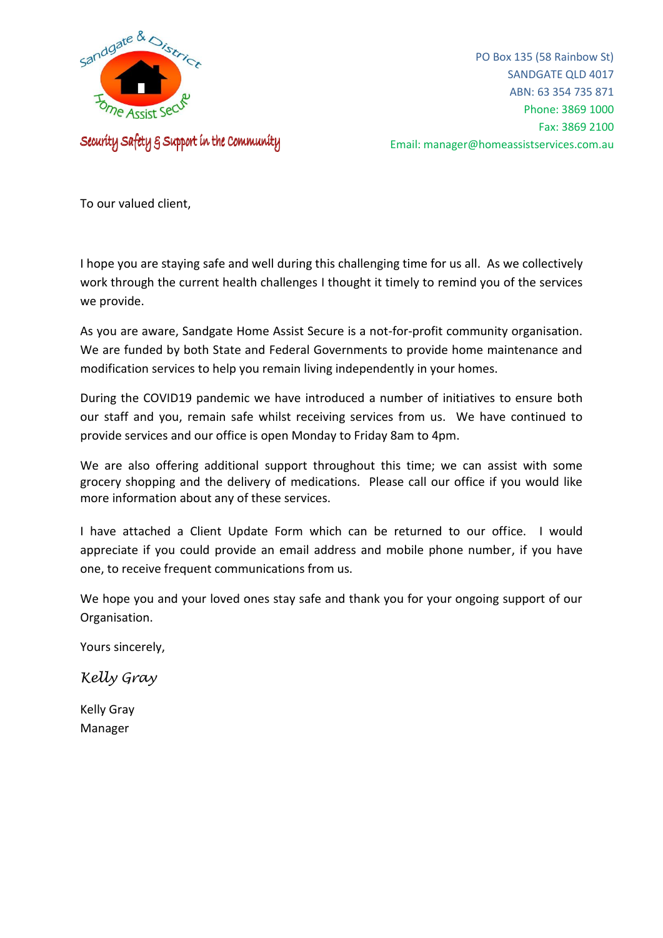

Security Safety & Support in the Community

PO Box 135 (58 Rainbow St) SANDGATE QLD 4017 ABN: 63 354 735 871 Phone: 3869 1000 Fax: 3869 2100 Email: manager@homeassistservices.com.au

To our valued client,

I hope you are staying safe and well during this challenging time for us all. As we collectively work through the current health challenges I thought it timely to remind you of the services we provide.

As you are aware, Sandgate Home Assist Secure is a not-for-profit community organisation. We are funded by both State and Federal Governments to provide home maintenance and modification services to help you remain living independently in your homes.

During the COVID19 pandemic we have introduced a number of initiatives to ensure both our staff and you, remain safe whilst receiving services from us. We have continued to provide services and our office is open Monday to Friday 8am to 4pm.

We are also offering additional support throughout this time; we can assist with some grocery shopping and the delivery of medications. Please call our office if you would like more information about any of these services.

I have attached a Client Update Form which can be returned to our office. I would appreciate if you could provide an email address and mobile phone number, if you have one, to receive frequent communications from us.

We hope you and your loved ones stay safe and thank you for your ongoing support of our Organisation.

Yours sincerely,

*Kelly Gray*

Kelly Gray Manager